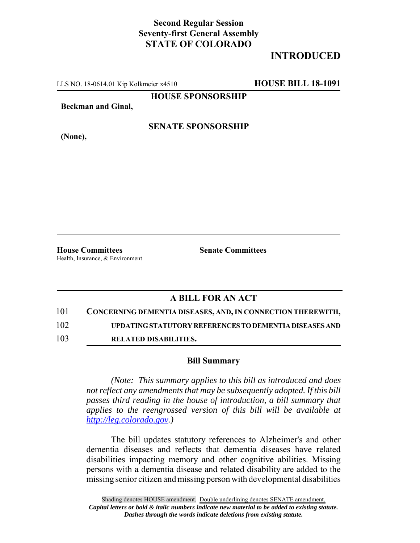## **Second Regular Session Seventy-first General Assembly STATE OF COLORADO**

## **INTRODUCED**

LLS NO. 18-0614.01 Kip Kolkmeier x4510 **HOUSE BILL 18-1091**

**HOUSE SPONSORSHIP**

**Beckman and Ginal,**

**(None),**

**SENATE SPONSORSHIP**

**House Committees Senate Committees** Health, Insurance, & Environment

## **A BILL FOR AN ACT**

101 **CONCERNING DEMENTIA DISEASES, AND, IN CONNECTION THEREWITH,**

102 **UPDATING STATUTORY REFERENCES TO DEMENTIA DISEASES AND**

103 **RELATED DISABILITIES.**

## **Bill Summary**

*(Note: This summary applies to this bill as introduced and does not reflect any amendments that may be subsequently adopted. If this bill passes third reading in the house of introduction, a bill summary that applies to the reengrossed version of this bill will be available at http://leg.colorado.gov.)*

The bill updates statutory references to Alzheimer's and other dementia diseases and reflects that dementia diseases have related disabilities impacting memory and other cognitive abilities. Missing persons with a dementia disease and related disability are added to the missing senior citizen and missing person with developmental disabilities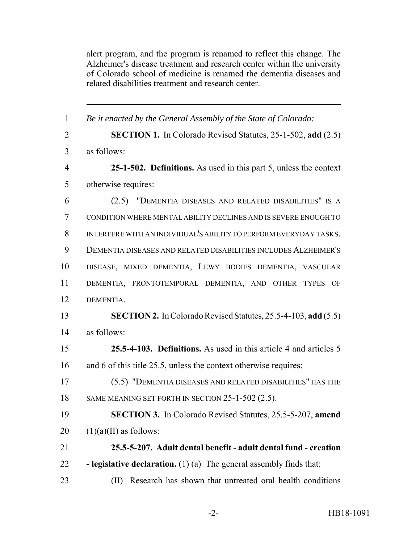alert program, and the program is renamed to reflect this change. The Alzheimer's disease treatment and research center within the university of Colorado school of medicine is renamed the dementia diseases and related disabilities treatment and research center.

| $\mathbf{1}$   | Be it enacted by the General Assembly of the State of Colorado:       |
|----------------|-----------------------------------------------------------------------|
| $\overline{2}$ | <b>SECTION 1.</b> In Colorado Revised Statutes, 25-1-502, add (2.5)   |
| 3              | as follows:                                                           |
| $\overline{4}$ | 25-1-502. Definitions. As used in this part 5, unless the context     |
| 5              | otherwise requires:                                                   |
| 6              | (2.5) "DEMENTIA DISEASES AND RELATED DISABILITIES" IS A               |
| $\overline{7}$ | CONDITION WHERE MENTAL ABILITY DECLINES AND IS SEVERE ENOUGH TO       |
| 8              | INTERFERE WITH AN INDIVIDUAL'S ABILITY TO PERFORM EVERYDAY TASKS.     |
| 9              | DEMENTIA DISEASES AND RELATED DISABILITIES INCLUDES ALZHEIMER'S       |
| 10             | DISEASE, MIXED DEMENTIA, LEWY BODIES DEMENTIA, VASCULAR               |
| 11             | DEMENTIA, FRONTOTEMPORAL DEMENTIA, AND OTHER TYPES OF                 |
| 12             | DEMENTIA.                                                             |
| 13             | <b>SECTION 2.</b> In Colorado Revised Statutes, 25.5-4-103, add (5.5) |
| 14             | as follows:                                                           |
| 15             | 25.5-4-103. Definitions. As used in this article 4 and articles 5     |
| 16             | and 6 of this title 25.5, unless the context otherwise requires:      |
| 17             | (5.5) "DEMENTIA DISEASES AND RELATED DISABILITIES" HAS THE            |
| 18             | SAME MEANING SET FORTH IN SECTION 25-1-502 (2.5).                     |
| 19             | SECTION 3. In Colorado Revised Statutes, 25.5-5-207, amend            |
| 20             | $(1)(a)(II)$ as follows:                                              |
| 21             | 25.5-5-207. Adult dental benefit - adult dental fund - creation       |
| 22             | - legislative declaration. $(1)$ (a) The general assembly finds that: |
| 23             | Research has shown that untreated oral health conditions<br>(II)      |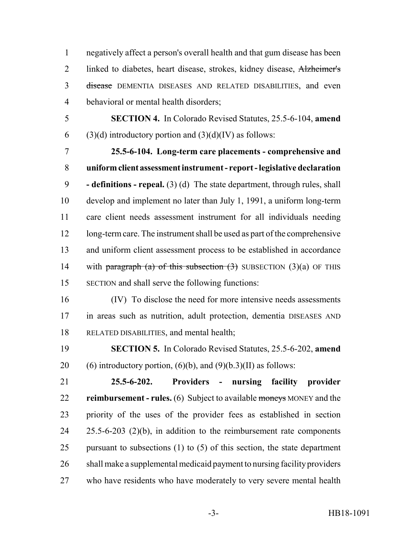negatively affect a person's overall health and that gum disease has been linked to diabetes, heart disease, strokes, kidney disease, Alzheimer's disease DEMENTIA DISEASES AND RELATED DISABILITIES, and even behavioral or mental health disorders;

 **SECTION 4.** In Colorado Revised Statutes, 25.5-6-104, **amend** 6 (3)(d) introductory portion and  $(3)(d)(IV)$  as follows:

 **25.5-6-104. Long-term care placements - comprehensive and uniform client assessment instrument - report - legislative declaration - definitions - repeal.** (3) (d) The state department, through rules, shall develop and implement no later than July 1, 1991, a uniform long-term care client needs assessment instrument for all individuals needing 12 long-term care. The instrument shall be used as part of the comprehensive and uniform client assessment process to be established in accordance 14 with paragraph (a) of this subsection  $(3)$  SUBSECTION  $(3)(a)$  OF THIS SECTION and shall serve the following functions:

 (IV) To disclose the need for more intensive needs assessments in areas such as nutrition, adult protection, dementia DISEASES AND RELATED DISABILITIES, and mental health;

 **SECTION 5.** In Colorado Revised Statutes, 25.5-6-202, **amend** 20 (6) introductory portion,  $(6)(b)$ , and  $(9)(b.3)(II)$  as follows:

 **25.5-6-202. Providers - nursing facility provider reimbursement - rules.** (6) Subject to available moneys MONEY and the priority of the uses of the provider fees as established in section 25.5-6-203 (2)(b), in addition to the reimbursement rate components 25 pursuant to subsections (1) to (5) of this section, the state department shall make a supplemental medicaid payment to nursing facility providers who have residents who have moderately to very severe mental health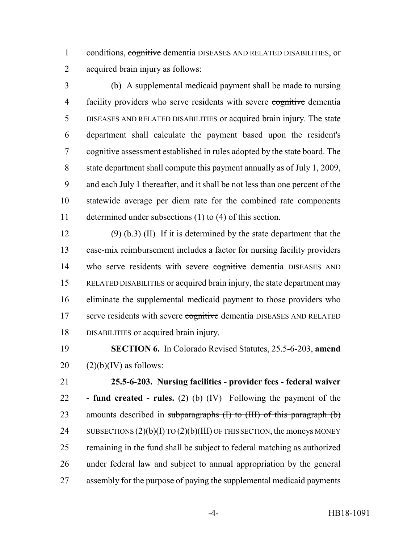1 conditions, cognitive dementia DISEASES AND RELATED DISABILITIES, or acquired brain injury as follows:

 (b) A supplemental medicaid payment shall be made to nursing 4 facility providers who serve residents with severe cognitive dementia DISEASES AND RELATED DISABILITIES or acquired brain injury. The state department shall calculate the payment based upon the resident's cognitive assessment established in rules adopted by the state board. The state department shall compute this payment annually as of July 1, 2009, and each July 1 thereafter, and it shall be not less than one percent of the statewide average per diem rate for the combined rate components determined under subsections (1) to (4) of this section.

 (9) (b.3) (II) If it is determined by the state department that the case-mix reimbursement includes a factor for nursing facility providers 14 who serve residents with severe cognitive dementia DISEASES AND RELATED DISABILITIES or acquired brain injury, the state department may eliminate the supplemental medicaid payment to those providers who 17 serve residents with severe cognitive dementia DISEASES AND RELATED DISABILITIES or acquired brain injury.

 **SECTION 6.** In Colorado Revised Statutes, 25.5-6-203, **amend**  $20 \qquad (2)(b)(IV)$  as follows:

 **25.5-6-203. Nursing facilities - provider fees - federal waiver - fund created - rules.** (2) (b) (IV) Following the payment of the 23 amounts described in subparagraphs (I) to (III) of this paragraph (b) 24 SUBSECTIONS  $(2)(b)(I)$  TO  $(2)(b)(III)$  OF THIS SECTION, the moneys MONEY remaining in the fund shall be subject to federal matching as authorized under federal law and subject to annual appropriation by the general assembly for the purpose of paying the supplemental medicaid payments

-4- HB18-1091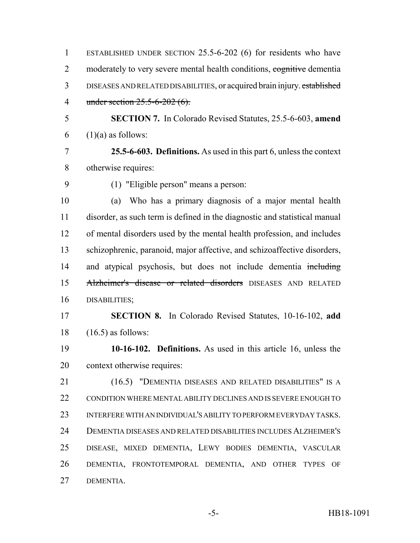| $\mathbf{1}$   | ESTABLISHED UNDER SECTION 25.5-6-202 (6) for residents who have            |
|----------------|----------------------------------------------------------------------------|
| $\overline{2}$ | moderately to very severe mental health conditions, cognitive dementia     |
|                |                                                                            |
| $\mathfrak{Z}$ | DISEASES AND RELATED DISABILITIES, or acquired brain injury. established   |
| $\overline{4}$ | under section $25.5 - 6 - 202$ (6).                                        |
| 5              | <b>SECTION 7.</b> In Colorado Revised Statutes, 25.5-6-603, amend          |
| 6              | $(1)(a)$ as follows:                                                       |
| $\overline{7}$ | 25.5-6-603. Definitions. As used in this part 6, unless the context        |
| 8              | otherwise requires:                                                        |
| 9              | (1) "Eligible person" means a person:                                      |
| 10             | (a) Who has a primary diagnosis of a major mental health                   |
| 11             | disorder, as such term is defined in the diagnostic and statistical manual |
| 12             | of mental disorders used by the mental health profession, and includes     |
| 13             | schizophrenic, paranoid, major affective, and schizoaffective disorders,   |
| 14             | and atypical psychosis, but does not include dementia including            |
| 15             | Alzheimer's disease or related disorders DISEASES AND RELATED              |
| 16             | DISABILITIES;                                                              |
| 17             | <b>SECTION 8.</b> In Colorado Revised Statutes, 10-16-102, add             |
| 18             | $(16.5)$ as follows:                                                       |
| 19             | 10-16-102. Definitions. As used in this article 16, unless the             |
| 20             | context otherwise requires:                                                |
| 21             | (16.5) "DEMENTIA DISEASES AND RELATED DISABILITIES" IS A                   |
| 22             | CONDITION WHERE MENTAL ABILITY DECLINES AND IS SEVERE ENOUGH TO            |
| 23             | INTERFERE WITH AN INDIVIDUAL'S ABILITY TO PERFORM EVERYDAY TASKS.          |
| 24             | DEMENTIA DISEASES AND RELATED DISABILITIES INCLUDES ALZHEIMER'S            |
| 25             | DISEASE, MIXED DEMENTIA, LEWY BODIES DEMENTIA, VASCULAR                    |
| 26             | DEMENTIA, FRONTOTEMPORAL DEMENTIA, AND OTHER TYPES OF                      |
| 27             | DEMENTIA.                                                                  |
|                |                                                                            |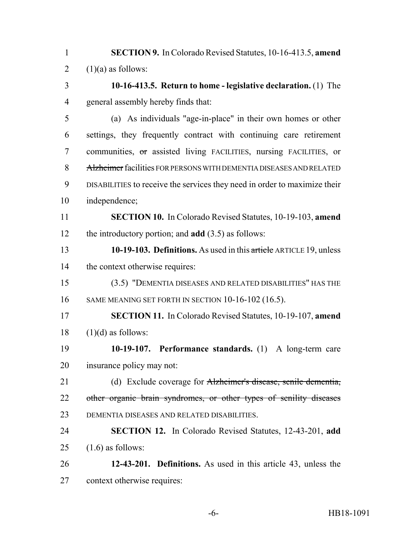- **SECTION 9.** In Colorado Revised Statutes, 10-16-413.5, **amend** 2  $(1)(a)$  as follows:
- **10-16-413.5. Return to home legislative declaration.** (1) The general assembly hereby finds that:

 (a) As individuals "age-in-place" in their own homes or other settings, they frequently contract with continuing care retirement communities, or assisted living FACILITIES, nursing FACILITIES, or 8 Alzheimer facilities FOR PERSONS WITH DEMENTIA DISEASES AND RELATED DISABILITIES to receive the services they need in order to maximize their independence;

- **SECTION 10.** In Colorado Revised Statutes, 10-19-103, **amend** the introductory portion; and **add** (3.5) as follows:
- **10-19-103. Definitions.** As used in this article ARTICLE 19, unless the context otherwise requires:
- (3.5) "DEMENTIA DISEASES AND RELATED DISABILITIES" HAS THE SAME MEANING SET FORTH IN SECTION 10-16-102 (16.5).
- **SECTION 11.** In Colorado Revised Statutes, 10-19-107, **amend** (1)(d) as follows:
- **10-19-107. Performance standards.** (1) A long-term care insurance policy may not:
- (d) Exclude coverage for Alzheimer's disease, senile dementia, 22 other organic brain syndromes, or other types of senility diseases DEMENTIA DISEASES AND RELATED DISABILITIES.
- **SECTION 12.** In Colorado Revised Statutes, 12-43-201, **add** 25  $(1.6)$  as follows:
- **12-43-201. Definitions.** As used in this article 43, unless the context otherwise requires: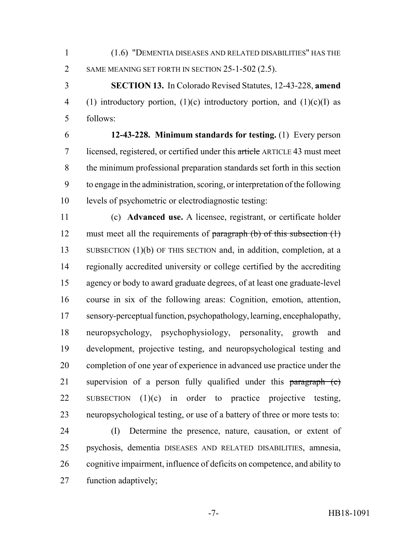(1.6) "DEMENTIA DISEASES AND RELATED DISABILITIES" HAS THE 2 SAME MEANING SET FORTH IN SECTION 25-1-502 (2.5).

 **SECTION 13.** In Colorado Revised Statutes, 12-43-228, **amend** 4 (1) introductory portion, (1)(c) introductory portion, and (1)(c)(I) as follows:

 **12-43-228. Minimum standards for testing.** (1) Every person licensed, registered, or certified under this article ARTICLE 43 must meet the minimum professional preparation standards set forth in this section to engage in the administration, scoring, or interpretation of the following levels of psychometric or electrodiagnostic testing:

 (c) **Advanced use.** A licensee, registrant, or certificate holder 12 must meet all the requirements of paragraph  $(b)$  of this subsection  $(1)$  SUBSECTION (1)(b) OF THIS SECTION and, in addition, completion, at a regionally accredited university or college certified by the accrediting agency or body to award graduate degrees, of at least one graduate-level course in six of the following areas: Cognition, emotion, attention, sensory-perceptual function, psychopathology, learning, encephalopathy, neuropsychology, psychophysiology, personality, growth and development, projective testing, and neuropsychological testing and completion of one year of experience in advanced use practice under the 21 supervision of a person fully qualified under this paragraph (c) SUBSECTION (1)(c) in order to practice projective testing, neuropsychological testing, or use of a battery of three or more tests to:

 (I) Determine the presence, nature, causation, or extent of psychosis, dementia DISEASES AND RELATED DISABILITIES, amnesia, cognitive impairment, influence of deficits on competence, and ability to function adaptively;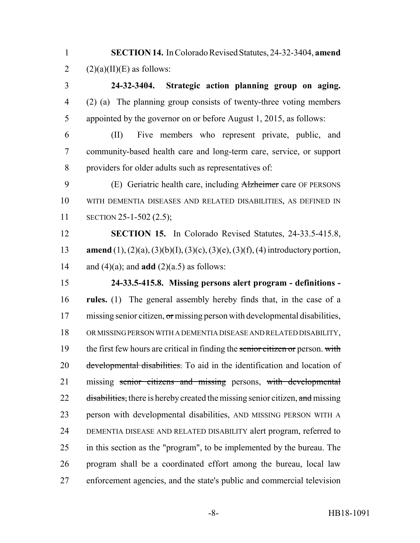**SECTION 14.** In Colorado Revised Statutes, 24-32-3404, **amend** 2  $(2)(a)(II)(E)$  as follows:

 **24-32-3404. Strategic action planning group on aging.** (2) (a) The planning group consists of twenty-three voting members appointed by the governor on or before August 1, 2015, as follows:

 (II) Five members who represent private, public, and community-based health care and long-term care, service, or support providers for older adults such as representatives of:

 (E) Geriatric health care, including Alzheimer care OF PERSONS WITH DEMENTIA DISEASES AND RELATED DISABILITIES, AS DEFINED IN SECTION 25-1-502 (2.5);

 **SECTION 15.** In Colorado Revised Statutes, 24-33.5-415.8, **amend** (1), (2)(a), (3)(b)(I), (3)(c), (3)(e), (3)(f), (4) introductory portion, 14 and (4)(a); and **add** (2)(a.5) as follows:

 **24-33.5-415.8. Missing persons alert program - definitions - rules.** (1) The general assembly hereby finds that, in the case of a 17 missing senior citizen, or missing person with developmental disabilities, OR MISSING PERSON WITH A DEMENTIA DISEASE AND RELATED DISABILITY, 19 the first few hours are critical in finding the senior citizen or person. with 20 <del>developmental disabilities.</del> To aid in the identification and location of 21 missing senior citizens and missing persons, with developmental 22 disabilities, there is hereby created the missing senior citizen, and missing person with developmental disabilities, AND MISSING PERSON WITH A DEMENTIA DISEASE AND RELATED DISABILITY alert program, referred to in this section as the "program", to be implemented by the bureau. The program shall be a coordinated effort among the bureau, local law enforcement agencies, and the state's public and commercial television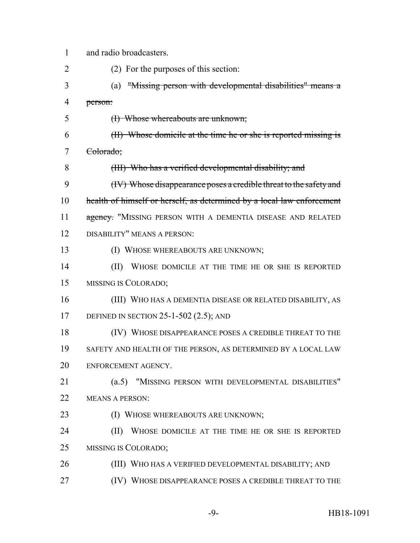| 1  | and radio broadcasters.                                                |
|----|------------------------------------------------------------------------|
| 2  | (2) For the purposes of this section:                                  |
| 3  | "Missing person with developmental disabilities" means a<br>(a)        |
| 4  | person:                                                                |
| 5  | (I) Whose whereabouts are unknown;                                     |
| 6  | (II) Whose domicile at the time he or she is reported missing is       |
| 7  | <del>Colorado;</del>                                                   |
| 8  | (III) Who has a verified developmental disability; and                 |
| 9  | (IV) Whose disappearance poses a credible threat to the safety and     |
| 10 | health of himself or herself, as determined by a local law enforcement |
| 11 | agency: "MISSING PERSON WITH A DEMENTIA DISEASE AND RELATED            |
| 12 | <b>DISABILITY" MEANS A PERSON:</b>                                     |
| 13 | (I) WHOSE WHEREABOUTS ARE UNKNOWN;                                     |
| 14 | WHOSE DOMICILE AT THE TIME HE OR SHE IS REPORTED<br>(II)               |
| 15 | MISSING IS COLORADO;                                                   |
| 16 | (III) WHO HAS A DEMENTIA DISEASE OR RELATED DISABILITY, AS             |
| 17 | DEFINED IN SECTION $25$ -1-502 (2.5); AND                              |
| 18 | (IV) WHOSE DISAPPEARANCE POSES A CREDIBLE THREAT TO THE                |
| 19 | SAFETY AND HEALTH OF THE PERSON, AS DETERMINED BY A LOCAL LAW          |
| 20 | ENFORCEMENT AGENCY.                                                    |
| 21 | "MISSING PERSON WITH DEVELOPMENTAL DISABILITIES"<br>(a.5)              |
| 22 | <b>MEANS A PERSON:</b>                                                 |
| 23 | WHOSE WHEREABOUTS ARE UNKNOWN;<br>(I)                                  |
| 24 | WHOSE DOMICILE AT THE TIME HE OR SHE IS REPORTED<br>(II)               |
| 25 | MISSING IS COLORADO;                                                   |
| 26 | (III) WHO HAS A VERIFIED DEVELOPMENTAL DISABILITY; AND                 |
| 27 | (IV) WHOSE DISAPPEARANCE POSES A CREDIBLE THREAT TO THE                |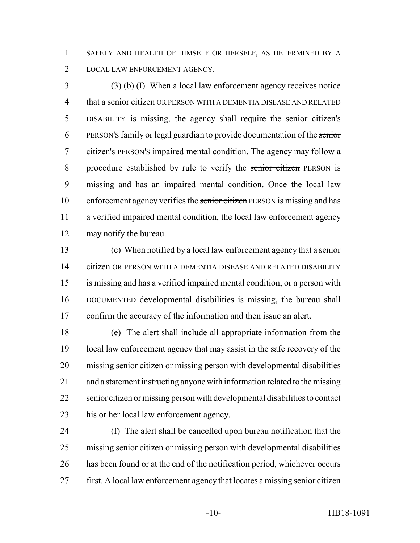SAFETY AND HEALTH OF HIMSELF OR HERSELF, AS DETERMINED BY A LOCAL LAW ENFORCEMENT AGENCY.

 (3) (b) (I) When a local law enforcement agency receives notice that a senior citizen OR PERSON WITH A DEMENTIA DISEASE AND RELATED DISABILITY is missing, the agency shall require the senior citizen's PERSON'S family or legal guardian to provide documentation of the senior citizen's PERSON'S impaired mental condition. The agency may follow a 8 procedure established by rule to verify the senior citizen PERSON is missing and has an impaired mental condition. Once the local law 10 enforcement agency verifies the senior citizen PERSON is missing and has a verified impaired mental condition, the local law enforcement agency may notify the bureau.

 (c) When notified by a local law enforcement agency that a senior citizen OR PERSON WITH A DEMENTIA DISEASE AND RELATED DISABILITY is missing and has a verified impaired mental condition, or a person with DOCUMENTED developmental disabilities is missing, the bureau shall confirm the accuracy of the information and then issue an alert.

 (e) The alert shall include all appropriate information from the local law enforcement agency that may assist in the safe recovery of the 20 missing senior citizen or missing person with developmental disabilities and a statement instructing anyone with information related to the missing 22 senior citizen or missing person with developmental disabilities to contact his or her local law enforcement agency.

 (f) The alert shall be cancelled upon bureau notification that the 25 missing senior citizen or missing person with developmental disabilities has been found or at the end of the notification period, whichever occurs 27 first. A local law enforcement agency that locates a missing senior citizen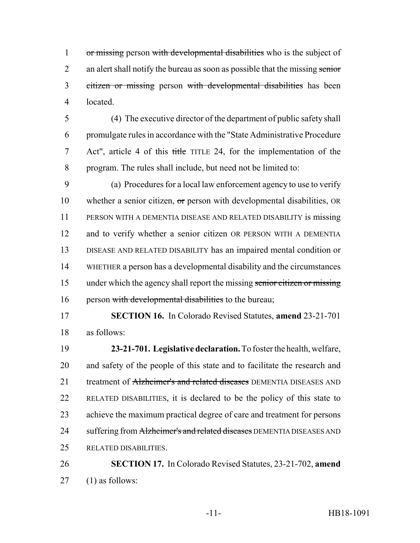1 or missing person with developmental disabilities who is the subject of 2 an alert shall notify the bureau as soon as possible that the missing senior citizen or missing person with developmental disabilities has been located.

 (4) The executive director of the department of public safety shall promulgate rules in accordance with the "State Administrative Procedure Act", article 4 of this title TITLE 24, for the implementation of the program. The rules shall include, but need not be limited to:

 (a) Procedures for a local law enforcement agency to use to verify 10 whether a senior citizen, or person with developmental disabilities, OR PERSON WITH A DEMENTIA DISEASE AND RELATED DISABILITY is missing and to verify whether a senior citizen OR PERSON WITH A DEMENTIA DISEASE AND RELATED DISABILITY has an impaired mental condition or WHETHER a person has a developmental disability and the circumstances under which the agency shall report the missing senior citizen or missing 16 person with developmental disabilities to the bureau;

 **SECTION 16.** In Colorado Revised Statutes, **amend** 23-21-701 as follows:

 **23-21-701. Legislative declaration.** To foster the health, welfare, and safety of the people of this state and to facilitate the research and 21 treatment of Alzheimer's and related diseases DEMENTIA DISEASES AND RELATED DISABILITIES, it is declared to be the policy of this state to achieve the maximum practical degree of care and treatment for persons 24 suffering from Alzheimer's and related diseases DEMENTIA DISEASES AND RELATED DISABILITIES.

 **SECTION 17.** In Colorado Revised Statutes, 23-21-702, **amend** (1) as follows: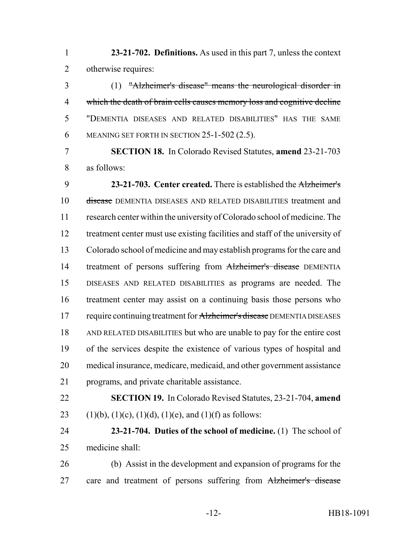**23-21-702. Definitions.** As used in this part 7, unless the context otherwise requires:

 (1) "Alzheimer's disease" means the neurological disorder in which the death of brain cells causes memory loss and cognitive decline "DEMENTIA DISEASES AND RELATED DISABILITIES" HAS THE SAME MEANING SET FORTH IN SECTION 25-1-502 (2.5).

 **SECTION 18.** In Colorado Revised Statutes, **amend** 23-21-703 as follows:

 **23-21-703. Center created.** There is established the Alzheimer's disease DEMENTIA DISEASES AND RELATED DISABILITIES treatment and research center within the university of Colorado school of medicine. The treatment center must use existing facilities and staff of the university of Colorado school of medicine and may establish programs for the care and 14 treatment of persons suffering from Alzheimer's disease DEMENTIA DISEASES AND RELATED DISABILITIES as programs are needed. The treatment center may assist on a continuing basis those persons who 17 require continuing treatment for Alzheimer's disease DEMENTIA DISEASES AND RELATED DISABILITIES but who are unable to pay for the entire cost of the services despite the existence of various types of hospital and medical insurance, medicare, medicaid, and other government assistance programs, and private charitable assistance.

 **SECTION 19.** In Colorado Revised Statutes, 23-21-704, **amend** 23 (1)(b), (1)(c), (1)(d), (1)(e), and (1)(f) as follows:

 **23-21-704. Duties of the school of medicine.** (1) The school of medicine shall:

 (b) Assist in the development and expansion of programs for the 27 care and treatment of persons suffering from Alzheimer's disease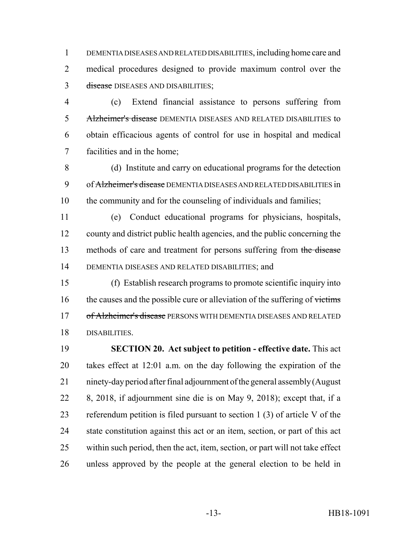DEMENTIA DISEASES AND RELATED DISABILITIES, including home care and medical procedures designed to provide maximum control over the disease DISEASES AND DISABILITIES;

 (c) Extend financial assistance to persons suffering from 5 Alzheimer's disease DEMENTIA DISEASES AND RELATED DISABILITIES to obtain efficacious agents of control for use in hospital and medical facilities and in the home;

 (d) Institute and carry on educational programs for the detection of Alzheimer's disease DEMENTIA DISEASES AND RELATED DISABILITIES in the community and for the counseling of individuals and families;

 (e) Conduct educational programs for physicians, hospitals, county and district public health agencies, and the public concerning the 13 methods of care and treatment for persons suffering from the disease DEMENTIA DISEASES AND RELATED DISABILITIES; and

 (f) Establish research programs to promote scientific inquiry into 16 the causes and the possible cure or alleviation of the suffering of victims 17 of Alzheimer's disease PERSONS WITH DEMENTIA DISEASES AND RELATED DISABILITIES.

 **SECTION 20. Act subject to petition - effective date.** This act takes effect at 12:01 a.m. on the day following the expiration of the ninety-day period after final adjournment of the general assembly (August 8, 2018, if adjournment sine die is on May 9, 2018); except that, if a referendum petition is filed pursuant to section 1 (3) of article V of the state constitution against this act or an item, section, or part of this act within such period, then the act, item, section, or part will not take effect unless approved by the people at the general election to be held in